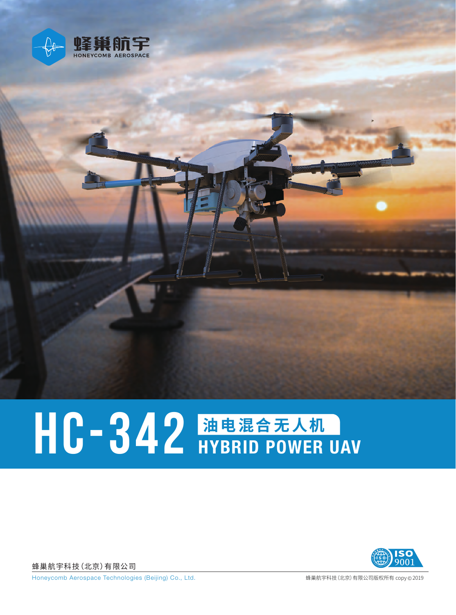

## HC-342 油电混合无人机

蜂巢航宇科技(北京)有限公司



Honeycomb Aerospace Technologies (Beijing) Co., Ltd. <br> **Warehouse The Contract of American** Welletter Warehouse of Warehouse Warehouse Welletter Australian (北京)有限公司版权所有 copy © 2019